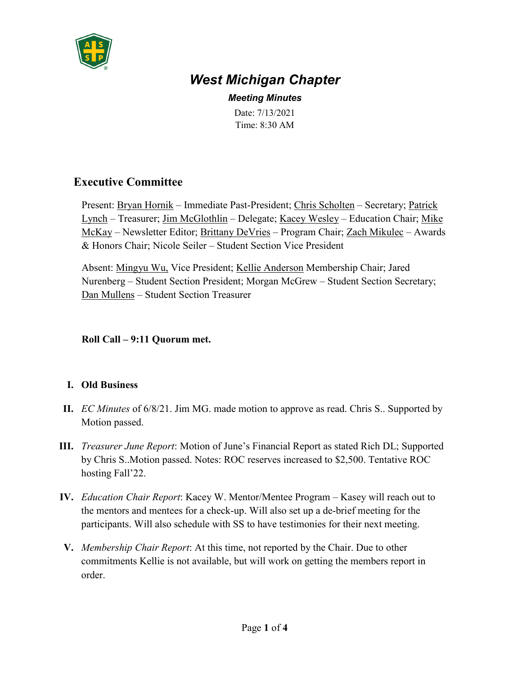

# *West Michigan Chapter*

*Meeting Minutes* Date: 7/13/2021 Time: 8:30 AM

# **Executive Committee**

Present: Bryan Hornik – Immediate Past-President; Chris Scholten – Secretary; Patrick Lynch – Treasurer; Jim McGlothlin – Delegate; Kacey Wesley – Education Chair; Mike McKay – Newsletter Editor; Brittany DeVries – Program Chair; Zach Mikulec – Awards & Honors Chair; Nicole Seiler – Student Section Vice President

Absent: Mingyu Wu, Vice President; Kellie Anderson Membership Chair; Jared Nurenberg – Student Section President; Morgan McGrew – Student Section Secretary; Dan Mullens – Student Section Treasurer

#### **Roll Call – 9:11 Quorum met.**

## **I. Old Business**

- **II.** *EC Minutes* of 6/8/21. Jim MG. made motion to approve as read. Chris S.. Supported by Motion passed.
- **III.** *Treasurer June Report*: Motion of June's Financial Report as stated Rich DL; Supported by Chris S..Motion passed. Notes: ROC reserves increased to \$2,500. Tentative ROC hosting Fall'22.
- **IV.** *Education Chair Report*: Kacey W. Mentor/Mentee Program Kasey will reach out to the mentors and mentees for a check-up. Will also set up a de-brief meeting for the participants. Will also schedule with SS to have testimonies for their next meeting.
- **V.** *Membership Chair Report*: At this time, not reported by the Chair. Due to other commitments Kellie is not available, but will work on getting the members report in order.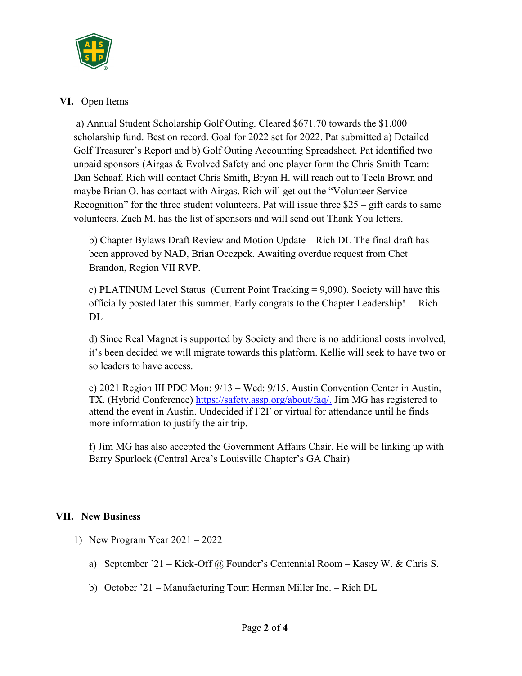

#### **VI.** Open Items

a) Annual Student Scholarship Golf Outing. Cleared \$671.70 towards the \$1,000 scholarship fund. Best on record. Goal for 2022 set for 2022. Pat submitted a) Detailed Golf Treasurer's Report and b) Golf Outing Accounting Spreadsheet. Pat identified two unpaid sponsors (Airgas & Evolved Safety and one player form the Chris Smith Team: Dan Schaaf. Rich will contact Chris Smith, Bryan H. will reach out to Teela Brown and maybe Brian O. has contact with Airgas. Rich will get out the "Volunteer Service Recognition" for the three student volunteers. Pat will issue three \$25 – gift cards to same volunteers. Zach M. has the list of sponsors and will send out Thank You letters.

b) Chapter Bylaws Draft Review and Motion Update – Rich DL The final draft has been approved by NAD, Brian Ocezpek. Awaiting overdue request from Chet Brandon, Region VII RVP.

c) PLATINUM Level Status (Current Point Tracking = 9,090). Society will have this officially posted later this summer. Early congrats to the Chapter Leadership! – Rich DL.

d) Since Real Magnet is supported by Society and there is no additional costs involved, it's been decided we will migrate towards this platform. Kellie will seek to have two or so leaders to have access.

e) 2021 Region III PDC Mon: 9/13 – Wed: 9/15. Austin Convention Center in Austin, TX. (Hybrid Conference) [https://safety.assp.org/about/faq/.](https://safety.assp.org/about/faq/) Jim MG has registered to attend the event in Austin. Undecided if F2F or virtual for attendance until he finds more information to justify the air trip.

f) Jim MG has also accepted the Government Affairs Chair. He will be linking up with Barry Spurlock (Central Area's Louisville Chapter's GA Chair)

## **VII. New Business**

- 1) New Program Year 2021 2022
	- a) September '21 Kick-Off @ Founder's Centennial Room Kasey W. & Chris S.
	- b) October '21 Manufacturing Tour: Herman Miller Inc. Rich DL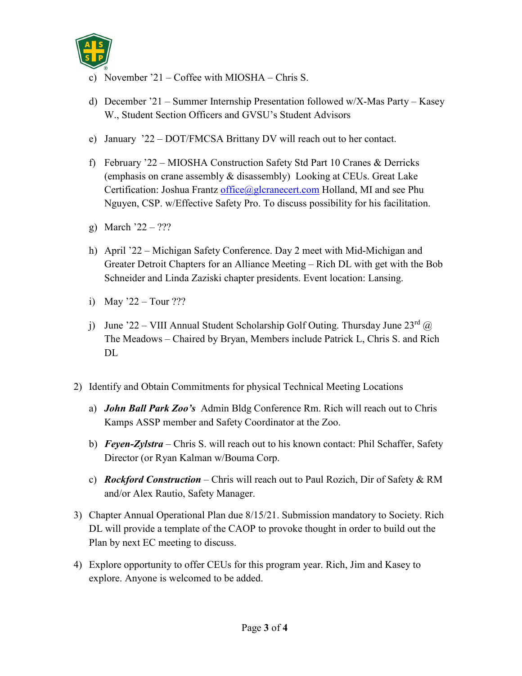

- c) November '21 Coffee with MIOSHA Chris S.
- d) December '21 Summer Internship Presentation followed w/X-Mas Party Kasey W., Student Section Officers and GVSU's Student Advisors
- e) January '22 DOT/FMCSA Brittany DV will reach out to her contact.
- f) February '22 MIOSHA Construction Safety Std Part 10 Cranes & Derricks (emphasis on crane assembly & disassembly) Looking at CEUs. Great Lake Certification: Joshua Frantz [office@glcranecert.com](mailto:office@glcranecert.com) Holland, MI and see Phu Nguyen, CSP. w/Effective Safety Pro. To discuss possibility for his facilitation.
- g) March  $22 22$ ?
- h) April '22 Michigan Safety Conference. Day 2 meet with Mid-Michigan and Greater Detroit Chapters for an Alliance Meeting – Rich DL with get with the Bob Schneider and Linda Zaziski chapter presidents. Event location: Lansing.
- i) May '22 Tour ???
- j) June '22 VIII Annual Student Scholarship Golf Outing. Thursday June  $23<sup>rd</sup>$  @ The Meadows – Chaired by Bryan, Members include Patrick L, Chris S. and Rich DL
- 2) Identify and Obtain Commitments for physical Technical Meeting Locations
	- a) *John Ball Park Zoo's* Admin Bldg Conference Rm. Rich will reach out to Chris Kamps ASSP member and Safety Coordinator at the Zoo.
	- b) *Feyen-Zylstra*  Chris S. will reach out to his known contact: Phil Schaffer, Safety Director (or Ryan Kalman w/Bouma Corp.
	- c) *Rockford Construction* Chris will reach out to Paul Rozich, Dir of Safety & RM and/or Alex Rautio, Safety Manager.
- 3) Chapter Annual Operational Plan due 8/15/21. Submission mandatory to Society. Rich DL will provide a template of the CAOP to provoke thought in order to build out the Plan by next EC meeting to discuss.
- 4) Explore opportunity to offer CEUs for this program year. Rich, Jim and Kasey to explore. Anyone is welcomed to be added.